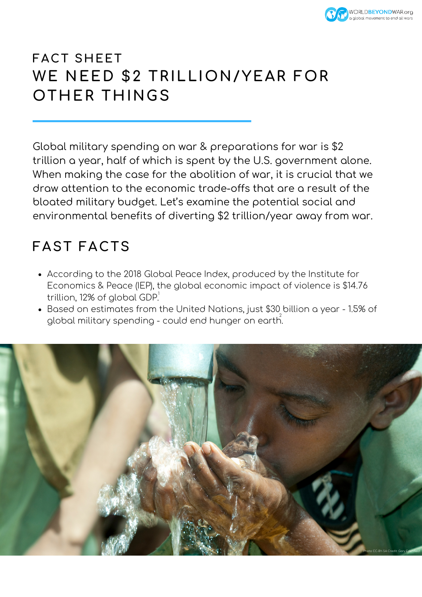

## **FACT SHEET WE NEED \$2 TRILLION/YEAR FOR OTHER THINGS**

Global military spending on war & preparations for war is \$2 trillion a year, half of which is spent by the U.S. government alone. When making the case for the abolition of war, it is crucial that we draw attention to the economic trade-offs that are a result of the bloated military budget. Let's examine the potential social and environmental benefits of diverting \$2 trillion/year away from war.

## **FAST FACTS**

- According to the 2018 Global Peace Index, produced by the Institute for Economics & Peace (IEP), the global economic impact of violence is \$14.76 trillion, 12% of global GDP. 1
- Based on estimates from the United Nations, just \$30 billion a year 1.5% of global military spending - could end hunger on earth.

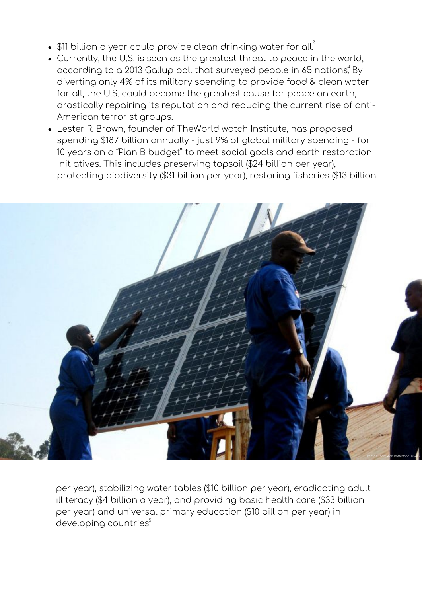- $\$11$  billion a year could provide clean drinking water for all. $^3$
- Currently, the U.S. is seen as the greatest threat to peace in the world, according to a 2013 Gallup poll that surveyed people in 65 nations. $^4$  By diverting only 4% of its military spending to provide food & clean water for all, the U.S. could become the greatest cause for peace on earth, drastically repairing its reputation and reducing the current rise of anti-American terrorist groups.
- Lester R. Brown, founder of TheWorld watch Institute, has proposed spending \$187 billion annually - just 9% of global military spending - for 10 years on a "Plan B budget" to meet social goals and earth restoration initiatives. This includes preserving topsoil (\$24 billion per year), protecting biodiversity (\$31 billion per year), restoring fisheries (\$13 billion



developing countries<sup>5</sup> per year), stabilizing water tables (\$10 billion per year), eradicating adult illiteracy (\$4 billion a year), and providing basic health care (\$33 billion per year) and universal primary education (\$10 billion per year) in